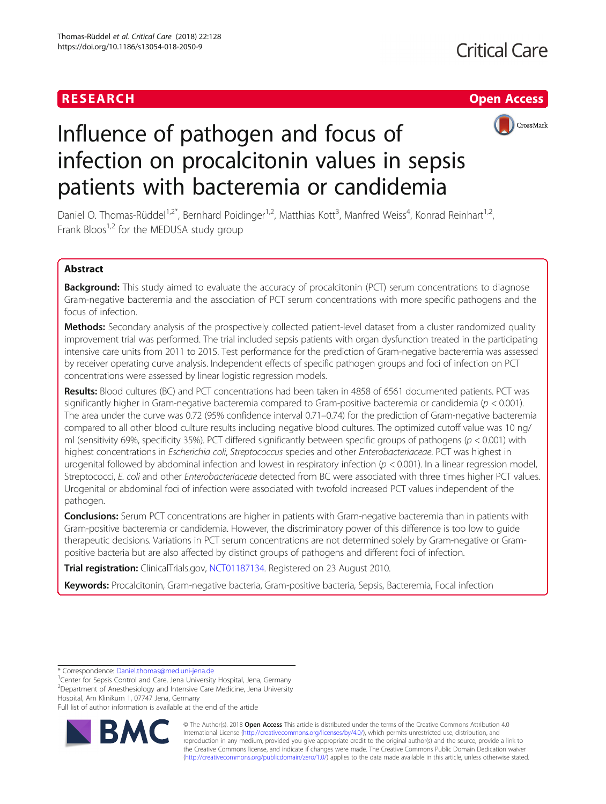



# Influence of pathogen and focus of infection on procalcitonin values in sepsis patients with bacteremia or candidemia

Daniel O. Thomas-Rüddel<sup>1,2\*</sup>, Bernhard Poidinger<sup>1,2</sup>, Matthias Kott<sup>3</sup>, Manfred Weiss<sup>4</sup>, Konrad Reinhart<sup>1,2</sup>, Frank Bloos<sup>1,2</sup> for the MEDUSA study group

# Abstract

**Background:** This study aimed to evaluate the accuracy of procalcitonin (PCT) serum concentrations to diagnose Gram-negative bacteremia and the association of PCT serum concentrations with more specific pathogens and the focus of infection.

Methods: Secondary analysis of the prospectively collected patient-level dataset from a cluster randomized quality improvement trial was performed. The trial included sepsis patients with organ dysfunction treated in the participating intensive care units from 2011 to 2015. Test performance for the prediction of Gram-negative bacteremia was assessed by receiver operating curve analysis. Independent effects of specific pathogen groups and foci of infection on PCT concentrations were assessed by linear logistic regression models.

Results: Blood cultures (BC) and PCT concentrations had been taken in 4858 of 6561 documented patients. PCT was significantly higher in Gram-negative bacteremia compared to Gram-positive bacteremia or candidemia ( $p < 0.001$ ). The area under the curve was 0.72 (95% confidence interval 0.71–0.74) for the prediction of Gram-negative bacteremia compared to all other blood culture results including negative blood cultures. The optimized cutoff value was 10 ng/ ml (sensitivity 69%, specificity 35%). PCT differed significantly between specific groups of pathogens ( $p < 0.001$ ) with highest concentrations in Escherichia coli, Streptococcus species and other Enterobacteriaceae. PCT was highest in urogenital followed by abdominal infection and lowest in respiratory infection  $(p < 0.001)$ . In a linear regression model, Streptococci, E. coli and other Enterobacteriaceae detected from BC were associated with three times higher PCT values. Urogenital or abdominal foci of infection were associated with twofold increased PCT values independent of the pathogen.

Conclusions: Serum PCT concentrations are higher in patients with Gram-negative bacteremia than in patients with Gram-positive bacteremia or candidemia. However, the discriminatory power of this difference is too low to guide therapeutic decisions. Variations in PCT serum concentrations are not determined solely by Gram-negative or Grampositive bacteria but are also affected by distinct groups of pathogens and different foci of infection.

Trial registration: ClinicalTrials.gov, [NCT01187134.](https://clinicaltrials.gov/ct2/show/NCT01187134) Registered on 23 August 2010.

Keywords: Procalcitonin, Gram-negative bacteria, Gram-positive bacteria, Sepsis, Bacteremia, Focal infection

Full list of author information is available at the end of the article



© The Author(s). 2018 Open Access This article is distributed under the terms of the Creative Commons Attribution 4.0 International License [\(http://creativecommons.org/licenses/by/4.0/](http://creativecommons.org/licenses/by/4.0/)), which permits unrestricted use, distribution, and reproduction in any medium, provided you give appropriate credit to the original author(s) and the source, provide a link to the Creative Commons license, and indicate if changes were made. The Creative Commons Public Domain Dedication waiver [\(http://creativecommons.org/publicdomain/zero/1.0/](http://creativecommons.org/publicdomain/zero/1.0/)) applies to the data made available in this article, unless otherwise stated.

<sup>\*</sup> Correspondence: [Daniel.thomas@med.uni-jena.de](mailto:Daniel.thomas@med.uni-jena.de) <sup>1</sup>

<sup>&</sup>lt;sup>1</sup> Center for Sepsis Control and Care, Jena University Hospital, Jena, Germany <sup>2</sup> Department of Anesthesiology and Intensive Care Medicine, Jena University Hospital, Am Klinikum 1, 07747 Jena, Germany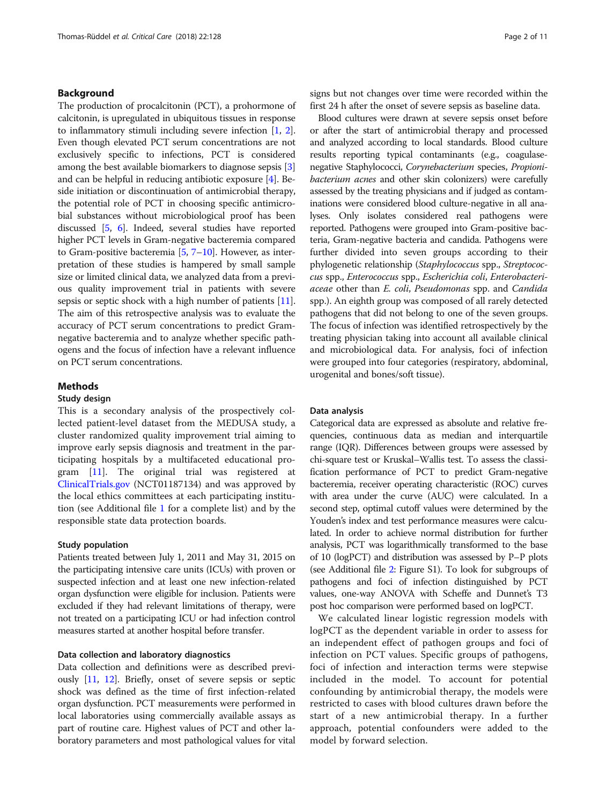# Background

The production of procalcitonin (PCT), a prohormone of calcitonin, is upregulated in ubiquitous tissues in response to inflammatory stimuli including severe infection [[1,](#page-9-0) [2](#page-9-0)]. Even though elevated PCT serum concentrations are not exclusively specific to infections, PCT is considered among the best available biomarkers to diagnose sepsis [[3](#page-9-0)] and can be helpful in reducing antibiotic exposure [\[4\]](#page-9-0). Beside initiation or discontinuation of antimicrobial therapy, the potential role of PCT in choosing specific antimicrobial substances without microbiological proof has been discussed [\[5,](#page-9-0) [6](#page-9-0)]. Indeed, several studies have reported higher PCT levels in Gram-negative bacteremia compared to Gram-positive bacteremia  $[5, 7-10]$  $[5, 7-10]$  $[5, 7-10]$  $[5, 7-10]$  $[5, 7-10]$ . However, as interpretation of these studies is hampered by small sample size or limited clinical data, we analyzed data from a previous quality improvement trial in patients with severe sepsis or septic shock with a high number of patients [[11](#page-9-0)]. The aim of this retrospective analysis was to evaluate the accuracy of PCT serum concentrations to predict Gramnegative bacteremia and to analyze whether specific pathogens and the focus of infection have a relevant influence on PCT serum concentrations.

# Methods

# Study design

This is a secondary analysis of the prospectively collected patient-level dataset from the MEDUSA study, a cluster randomized quality improvement trial aiming to improve early sepsis diagnosis and treatment in the participating hospitals by a multifaceted educational program [[11](#page-9-0)]. The original trial was registered at [ClinicalTrials.gov](http://clinicaltrials.gov) (NCT01187134) and was approved by the local ethics committees at each participating institution (see Additional file [1](#page-8-0) for a complete list) and by the responsible state data protection boards.

# Study population

Patients treated between July 1, 2011 and May 31, 2015 on the participating intensive care units (ICUs) with proven or suspected infection and at least one new infection-related organ dysfunction were eligible for inclusion. Patients were excluded if they had relevant limitations of therapy, were not treated on a participating ICU or had infection control measures started at another hospital before transfer.

# Data collection and laboratory diagnostics

Data collection and definitions were as described previously [[11](#page-9-0), [12](#page-9-0)]. Briefly, onset of severe sepsis or septic shock was defined as the time of first infection-related organ dysfunction. PCT measurements were performed in local laboratories using commercially available assays as part of routine care. Highest values of PCT and other laboratory parameters and most pathological values for vital signs but not changes over time were recorded within the first 24 h after the onset of severe sepsis as baseline data.

Blood cultures were drawn at severe sepsis onset before or after the start of antimicrobial therapy and processed and analyzed according to local standards. Blood culture results reporting typical contaminants (e.g., coagulasenegative Staphylococci, Corynebacterium species, Propionibacterium acnes and other skin colonizers) were carefully assessed by the treating physicians and if judged as contaminations were considered blood culture-negative in all analyses. Only isolates considered real pathogens were reported. Pathogens were grouped into Gram-positive bacteria, Gram-negative bacteria and candida. Pathogens were further divided into seven groups according to their phylogenetic relationship (Staphylococcus spp., Streptococcus spp., Enterococcus spp., Escherichia coli, Enterobacteriaceae other than E. coli, Pseudomonas spp. and Candida spp.). An eighth group was composed of all rarely detected pathogens that did not belong to one of the seven groups. The focus of infection was identified retrospectively by the treating physician taking into account all available clinical and microbiological data. For analysis, foci of infection were grouped into four categories (respiratory, abdominal, urogenital and bones/soft tissue).

# Data analysis

Categorical data are expressed as absolute and relative frequencies, continuous data as median and interquartile range (IQR). Differences between groups were assessed by chi-square test or Kruskal–Wallis test. To assess the classification performance of PCT to predict Gram-negative bacteremia, receiver operating characteristic (ROC) curves with area under the curve (AUC) were calculated. In a second step, optimal cutoff values were determined by the Youden's index and test performance measures were calculated. In order to achieve normal distribution for further analysis, PCT was logarithmically transformed to the base of 10 (logPCT) and distribution was assessed by P–P plots (see Additional file [2](#page-8-0): Figure S1). To look for subgroups of pathogens and foci of infection distinguished by PCT values, one-way ANOVA with Scheffe and Dunnet's T3 post hoc comparison were performed based on logPCT.

We calculated linear logistic regression models with logPCT as the dependent variable in order to assess for an independent effect of pathogen groups and foci of infection on PCT values. Specific groups of pathogens, foci of infection and interaction terms were stepwise included in the model. To account for potential confounding by antimicrobial therapy, the models were restricted to cases with blood cultures drawn before the start of a new antimicrobial therapy. In a further approach, potential confounders were added to the model by forward selection.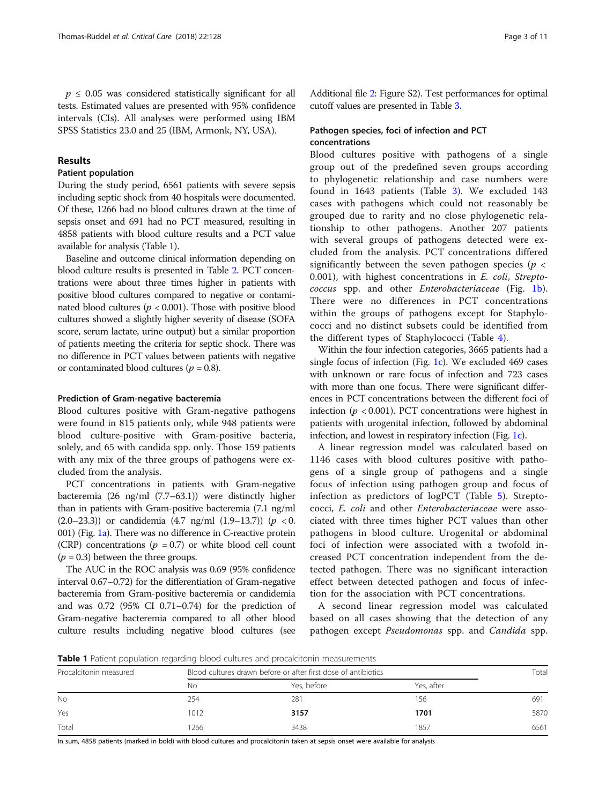$p \leq 0.05$  was considered statistically significant for all tests. Estimated values are presented with 95% confidence intervals (CIs). All analyses were performed using IBM SPSS Statistics 23.0 and 25 (IBM, Armonk, NY, USA).

# Results

# Patient population

During the study period, 6561 patients with severe sepsis including septic shock from 40 hospitals were documented. Of these, 1266 had no blood cultures drawn at the time of sepsis onset and 691 had no PCT measured, resulting in 4858 patients with blood culture results and a PCT value available for analysis (Table 1).

Baseline and outcome clinical information depending on blood culture results is presented in Table [2.](#page-3-0) PCT concentrations were about three times higher in patients with positive blood cultures compared to negative or contaminated blood cultures ( $p < 0.001$ ). Those with positive blood cultures showed a slightly higher severity of disease (SOFA score, serum lactate, urine output) but a similar proportion of patients meeting the criteria for septic shock. There was no difference in PCT values between patients with negative or contaminated blood cultures ( $p = 0.8$ ).

# Prediction of Gram-negative bacteremia

Blood cultures positive with Gram-negative pathogens were found in 815 patients only, while 948 patients were blood culture-positive with Gram-positive bacteria, solely, and 65 with candida spp. only. Those 159 patients with any mix of the three groups of pathogens were excluded from the analysis.

PCT concentrations in patients with Gram-negative bacteremia (26 ng/ml (7.7–63.1)) were distinctly higher than in patients with Gram-positive bacteremia (7.1 ng/ml (2.0–23.3)) or candidemia (4.7 ng/ml (1.9–13.7)) ( $p < 0$ . 001) (Fig. [1a\)](#page-4-0). There was no difference in C-reactive protein (CRP) concentrations ( $p = 0.7$ ) or white blood cell count  $(p = 0.3)$  between the three groups.

The AUC in the ROC analysis was 0.69 (95% confidence interval 0.67–0.72) for the differentiation of Gram-negative bacteremia from Gram-positive bacteremia or candidemia and was 0.72 (95% CI 0.71–0.74) for the prediction of Gram-negative bacteremia compared to all other blood culture results including negative blood cultures (see

Additional file [2](#page-8-0): Figure S2). Test performances for optimal cutoff values are presented in Table [3.](#page-4-0)

# Pathogen species, foci of infection and PCT concentrations

Blood cultures positive with pathogens of a single group out of the predefined seven groups according to phylogenetic relationship and case numbers were found in 1643 patients (Table [3\)](#page-4-0). We excluded 143 cases with pathogens which could not reasonably be grouped due to rarity and no close phylogenetic relationship to other pathogens. Another 207 patients with several groups of pathogens detected were excluded from the analysis. PCT concentrations differed significantly between the seven pathogen species ( $p <$ 0.001), with highest concentrations in E. coli, Streptococcus spp. and other Enterobacteriaceae (Fig. [1b](#page-4-0)). There were no differences in PCT concentrations within the groups of pathogens except for Staphylococci and no distinct subsets could be identified from the different types of Staphylococci (Table [4](#page-5-0)).

Within the four infection categories, 3665 patients had a single focus of infection (Fig. [1c](#page-4-0)). We excluded 469 cases with unknown or rare focus of infection and 723 cases with more than one focus. There were significant differences in PCT concentrations between the different foci of infection ( $p < 0.001$ ). PCT concentrations were highest in patients with urogenital infection, followed by abdominal infection, and lowest in respiratory infection (Fig. [1c\)](#page-4-0).

A linear regression model was calculated based on 1146 cases with blood cultures positive with pathogens of a single group of pathogens and a single focus of infection using pathogen group and focus of infection as predictors of logPCT (Table [5\)](#page-6-0). Streptococci, E. coli and other Enterobacteriaceae were associated with three times higher PCT values than other pathogens in blood culture. Urogenital or abdominal foci of infection were associated with a twofold increased PCT concentration independent from the detected pathogen. There was no significant interaction effect between detected pathogen and focus of infection for the association with PCT concentrations.

A second linear regression model was calculated based on all cases showing that the detection of any pathogen except Pseudomonas spp. and Candida spp.

Table 1 Patient population regarding blood cultures and procalcitonin measurements

| Procalcitonin measured |       | Blood cultures drawn before or after first dose of antibiotics |            |      |  |
|------------------------|-------|----------------------------------------------------------------|------------|------|--|
|                        | No    | Yes, before                                                    | Yes, after |      |  |
| No                     | 254   | 281                                                            | 156        | 691  |  |
| Yes                    | 1012  | 3157                                                           | 1701       | 5870 |  |
| Total                  | ' 266 | 3438                                                           | 1857       | 6561 |  |

In sum, 4858 patients (marked in bold) with blood cultures and procalcitonin taken at sepsis onset were available for analysis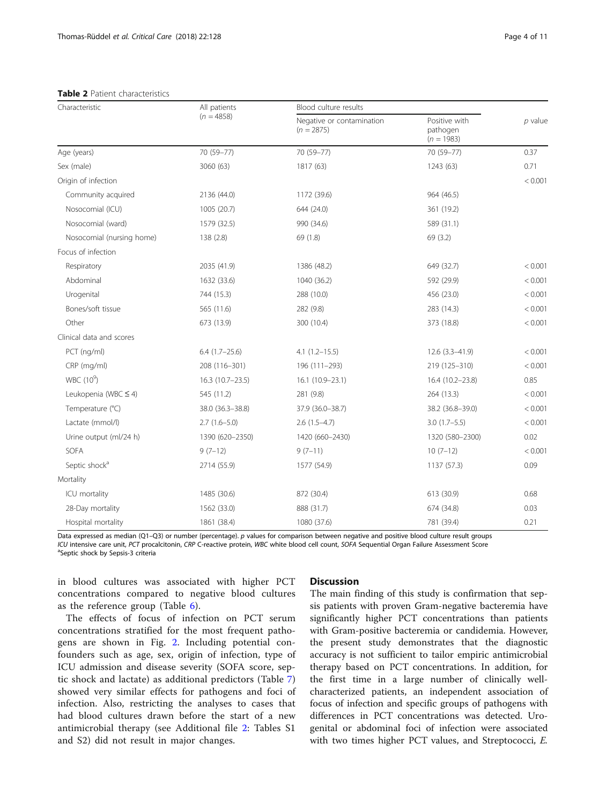# <span id="page-3-0"></span>Table 2 Patient characteristics

| Characteristic            | All patients<br>$(n = 4858)$ | Blood culture results                     |                                           |           |
|---------------------------|------------------------------|-------------------------------------------|-------------------------------------------|-----------|
|                           |                              | Negative or contamination<br>$(n = 2875)$ | Positive with<br>pathogen<br>$(n = 1983)$ | $p$ value |
| Age (years)               | 70 (59-77)                   | 70 (59-77)                                | 70 (59-77)                                | 0.37      |
| Sex (male)                | 3060 (63)                    | 1817 (63)                                 | 1243 (63)                                 | 0.71      |
| Origin of infection       |                              |                                           |                                           | < 0.001   |
| Community acquired        | 2136 (44.0)                  | 1172 (39.6)                               | 964 (46.5)                                |           |
| Nosocomial (ICU)          | 1005 (20.7)                  | 644 (24.0)                                | 361 (19.2)                                |           |
| Nosocomial (ward)         | 1579 (32.5)                  | 990 (34.6)                                | 589 (31.1)                                |           |
| Nosocomial (nursing home) | 138 (2.8)                    | 69 (1.8)                                  | 69 (3.2)                                  |           |
| Focus of infection        |                              |                                           |                                           |           |
| Respiratory               | 2035 (41.9)                  | 1386 (48.2)                               | 649 (32.7)                                | < 0.001   |
| Abdominal                 | 1632 (33.6)                  | 1040 (36.2)                               | 592 (29.9)                                | < 0.001   |
| Urogenital                | 744 (15.3)                   | 288 (10.0)                                | 456 (23.0)                                | < 0.001   |
| Bones/soft tissue         | 565 (11.6)                   | 282 (9.8)                                 | 283 (14.3)                                | < 0.001   |
| Other                     | 673 (13.9)                   | 300 (10.4)                                | 373 (18.8)                                | < 0.001   |
| Clinical data and scores  |                              |                                           |                                           |           |
| PCT (ng/ml)               | $6.4(1.7-25.6)$              | $4.1(1.2 - 15.5)$                         | $12.6(3.3 - 41.9)$                        | < 0.001   |
| CRP (mg/ml)               | 208 (116-301)                | 196 (111-293)                             | 219 (125-310)                             | < 0.001   |
| WBC (10 <sup>9</sup> )    | $16.3(10.7-23.5)$            | $16.1(10.9-23.1)$                         | 16.4 (10.2-23.8)                          | 0.85      |
| Leukopenia (WBC ≤ 4)      | 545 (11.2)                   | 281 (9.8)                                 | 264 (13.3)                                | < 0.001   |
| Temperature (°C)          | 38.0 (36.3-38.8)             | 37.9 (36.0-38.7)                          | 38.2 (36.8-39.0)                          | < 0.001   |
| Lactate (mmol/l)          | $2.7(1.6-5.0)$               | $2.6(1.5-4.7)$                            | $3.0(1.7-5.5)$                            | < 0.001   |
| Urine output (ml/24 h)    | 1390 (620-2350)              | 1420 (660-2430)                           | 1320 (580-2300)                           | 0.02      |
| SOFA                      | $9(7-12)$                    | $9(7-11)$                                 | $10(7-12)$                                | < 0.001   |
| Septic shock <sup>a</sup> | 2714 (55.9)                  | 1577 (54.9)                               | 1137 (57.3)                               | 0.09      |
| Mortality                 |                              |                                           |                                           |           |
| ICU mortality             | 1485 (30.6)                  | 872 (30.4)                                | 613 (30.9)                                | 0.68      |
| 28-Day mortality          | 1562 (33.0)                  | 888 (31.7)                                | 674 (34.8)                                | 0.03      |
| Hospital mortality        | 1861 (38.4)                  | 1080 (37.6)                               | 781 (39.4)                                | 0.21      |

Data expressed as median (Q1–Q3) or number (percentage). p values for comparison between negative and positive blood culture result groups ICU intensive care unit, PCT procalcitonin, CRP C-reactive protein, WBC white blood cell count, SOFA Sequential Organ Failure Assessment Score <sup>a</sup>Septic shock by Sepsis-3 criteria

in blood cultures was associated with higher PCT concentrations compared to negative blood cultures as the reference group (Table [6\)](#page-6-0).

The effects of focus of infection on PCT serum concentrations stratified for the most frequent pathogens are shown in Fig. [2](#page-7-0). Including potential confounders such as age, sex, origin of infection, type of ICU admission and disease severity (SOFA score, septic shock and lactate) as additional predictors (Table [7](#page-8-0)) showed very similar effects for pathogens and foci of infection. Also, restricting the analyses to cases that had blood cultures drawn before the start of a new antimicrobial therapy (see Additional file [2](#page-8-0): Tables S1 and S2) did not result in major changes.

# **Discussion**

The main finding of this study is confirmation that sepsis patients with proven Gram-negative bacteremia have significantly higher PCT concentrations than patients with Gram-positive bacteremia or candidemia. However, the present study demonstrates that the diagnostic accuracy is not sufficient to tailor empiric antimicrobial therapy based on PCT concentrations. In addition, for the first time in a large number of clinically wellcharacterized patients, an independent association of focus of infection and specific groups of pathogens with differences in PCT concentrations was detected. Urogenital or abdominal foci of infection were associated with two times higher PCT values, and Streptococci, E.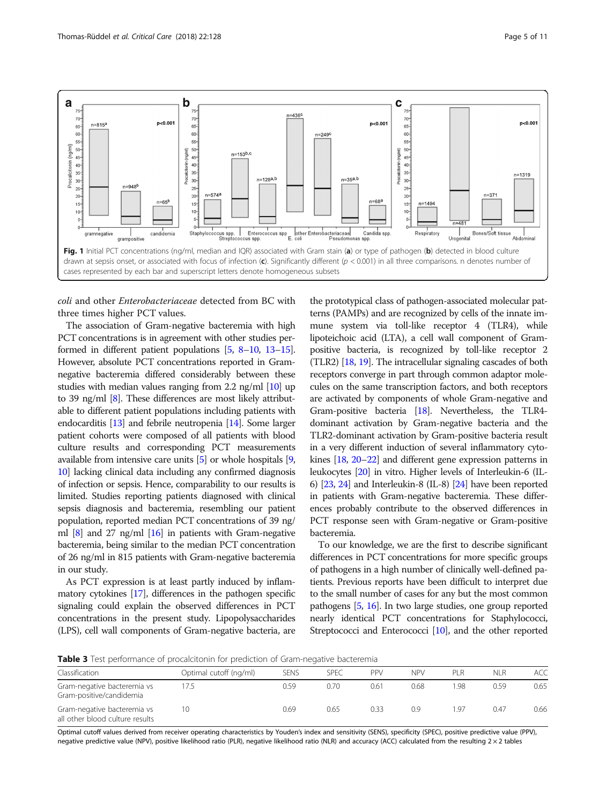<span id="page-4-0"></span>

coli and other Enterobacteriaceae detected from BC with three times higher PCT values.

The association of Gram-negative bacteremia with high PCT concentrations is in agreement with other studies performed in different patient populations [\[5](#page-9-0), [8](#page-9-0)–[10](#page-9-0), [13](#page-9-0)–[15](#page-9-0)]. However, absolute PCT concentrations reported in Gramnegative bacteremia differed considerably between these studies with median values ranging from 2.2 ng/ml [[10](#page-9-0)] up to 39 ng/ml [\[8\]](#page-9-0). These differences are most likely attributable to different patient populations including patients with endocarditis [[13](#page-9-0)] and febrile neutropenia [\[14\]](#page-9-0). Some larger patient cohorts were composed of all patients with blood culture results and corresponding PCT measurements available from intensive care units [\[5\]](#page-9-0) or whole hospitals [[9](#page-9-0), [10](#page-9-0)] lacking clinical data including any confirmed diagnosis of infection or sepsis. Hence, comparability to our results is limited. Studies reporting patients diagnosed with clinical sepsis diagnosis and bacteremia, resembling our patient population, reported median PCT concentrations of 39 ng/ ml  $[8]$  and 27 ng/ml  $[16]$  in patients with Gram-negative bacteremia, being similar to the median PCT concentration of 26 ng/ml in 815 patients with Gram-negative bacteremia in our study.

As PCT expression is at least partly induced by inflammatory cytokines [\[17\]](#page-9-0), differences in the pathogen specific signaling could explain the observed differences in PCT concentrations in the present study. Lipopolysaccharides (LPS), cell wall components of Gram-negative bacteria, are

the prototypical class of pathogen-associated molecular patterns (PAMPs) and are recognized by cells of the innate immune system via toll-like receptor 4 (TLR4), while lipoteichoic acid (LTA), a cell wall component of Grampositive bacteria, is recognized by toll-like receptor 2 (TLR2) [[18](#page-9-0), [19](#page-9-0)]. The intracellular signaling cascades of both receptors converge in part through common adaptor molecules on the same transcription factors, and both receptors are activated by components of whole Gram-negative and Gram-positive bacteria [\[18\]](#page-9-0). Nevertheless, the TLR4 dominant activation by Gram-negative bacteria and the TLR2-dominant activation by Gram-positive bacteria result in a very different induction of several inflammatory cytokines [\[18](#page-9-0), [20](#page-9-0)–[22](#page-9-0)] and different gene expression patterns in leukocytes [\[20](#page-9-0)] in vitro. Higher levels of Interleukin-6 (IL-6) [\[23,](#page-9-0) [24](#page-9-0)] and Interleukin-8 (IL-8) [[24](#page-9-0)] have been reported in patients with Gram-negative bacteremia. These differences probably contribute to the observed differences in PCT response seen with Gram-negative or Gram-positive bacteremia.

To our knowledge, we are the first to describe significant differences in PCT concentrations for more specific groups of pathogens in a high number of clinically well-defined patients. Previous reports have been difficult to interpret due to the small number of cases for any but the most common pathogens [[5](#page-9-0), [16\]](#page-9-0). In two large studies, one group reported nearly identical PCT concentrations for Staphylococci, Streptococci and Enterococci [\[10](#page-9-0)], and the other reported

Table 3 Test performance of procalcitonin for prediction of Gram-negative bacteremia

| Classification                                                 | Optimal cutoff (ng/ml) | <b>SENS</b> | <b>SPEC</b> | PPV  | <b>NPV</b> | PLR  | NLR  | <b>ACC</b> |
|----------------------------------------------------------------|------------------------|-------------|-------------|------|------------|------|------|------------|
| Gram-negative bacteremia vs<br>Gram-positive/candidemia        | 17.5                   | 0.59        | 0.70        | 0.61 | 0.68       | 1.98 | 0.59 | 0.65       |
| Gram-negative bacteremia vs<br>all other blood culture results | 10                     | 0.69        | 0.65        | 0.33 | 0.9        | 1.97 | 0.47 | 0.66       |

Optimal cutoff values derived from receiver operating characteristics by Youden's index and sensitivity (SENS), specificity (SPEC), positive predictive value (PPV), negative predictive value (NPV), positive likelihood ratio (PLR), negative likelihood ratio (NLR) and accuracy (ACC) calculated from the resulting 2 × 2 tables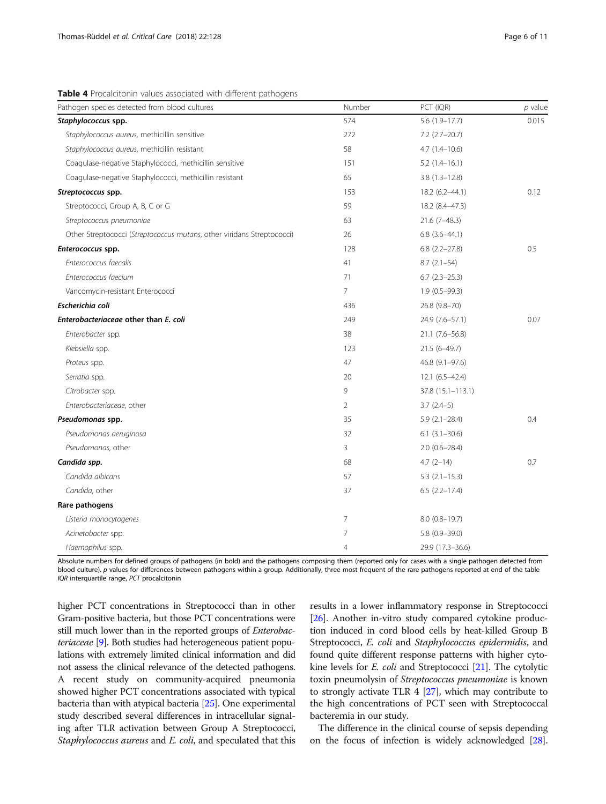<span id="page-5-0"></span>Table 4 Procalcitonin values associated with different pathogens

| Pathogen species detected from blood cultures                          | Number         | PCT (IQR)            | $p$ value |
|------------------------------------------------------------------------|----------------|----------------------|-----------|
| Staphylococcus spp.                                                    | 574            | $5.6(1.9-17.7)$      | 0.015     |
| Staphylococcus aureus, methicillin sensitive                           | 272            | $7.2$ (2.7-20.7)     |           |
| Staphylococcus aureus, methicillin resistant                           | 58             | $4.7(1.4 - 10.6)$    |           |
| Coagulase-negative Staphylococci, methicillin sensitive                | 151            | $5.2(1.4-16.1)$      |           |
| Coagulase-negative Staphylococci, methicillin resistant                | 65             | $3.8(1.3 - 12.8)$    |           |
| Streptococcus spp.                                                     | 153            | 18.2 (6.2-44.1)      | 0.12      |
| Streptococci, Group A, B, C or G                                       | 59             | 18.2 (8.4-47.3)      |           |
| Streptococcus pneumoniae                                               | 63             | $21.6(7-48.3)$       |           |
| Other Streptococci (Streptococcus mutans, other viridans Streptococci) | 26             | $6.8$ $(3.6-44.1)$   |           |
| Enterococcus spp.                                                      | 128            | $6.8$ $(2.2 - 27.8)$ | 0.5       |
| Enterococcus faecalis                                                  | 41             | $8.7(2.1-54)$        |           |
| Enterococcus faecium                                                   | 71             | $6.7$ $(2.3-25.3)$   |           |
| Vancomycin-resistant Enterococci                                       | 7              | $1.9(0.5-99.3)$      |           |
| Escherichia coli                                                       | 436            | 26.8 (9.8-70)        |           |
| Enterobacteriaceae other than E. coli                                  | 249            | 24.9 (7.6-57.1)      | 0.07      |
| Enterobacter spp.                                                      | 38             | $21.1 (7.6 - 56.8)$  |           |
| Klebsiella spp.                                                        | 123            | $21.5(6-49.7)$       |           |
| Proteus spp.                                                           | 47             | 46.8 (9.1-97.6)      |           |
| Serratia spp.                                                          | 20             | $12.1(6.5 - 42.4)$   |           |
| Citrobacter spp.                                                       | 9              | 37.8 (15.1–113.1)    |           |
| Enterobacteriaceae, other                                              | 2              | $3.7(2.4-5)$         |           |
| Pseudomonas spp.                                                       | 35             | $5.9(2.1 - 28.4)$    | 0.4       |
| Pseudomonas aeruginosa                                                 | 32             | $6.1(3.1 - 30.6)$    |           |
| Pseudomonas, other                                                     | 3              | $2.0(0.6-28.4)$      |           |
| Candida spp.                                                           | 68             | $4.7(2 - 14)$        | 0.7       |
| Candida albicans                                                       | 57             | $5.3$ $(2.1 - 15.3)$ |           |
| Candida, other                                                         | 37             | $6.5(2.2 - 17.4)$    |           |
| Rare pathogens                                                         |                |                      |           |
| Listeria monocytogenes                                                 | 7              | $8.0(0.8-19.7)$      |           |
| Acinetobacter spp.                                                     | $\overline{7}$ | $5.8(0.9 - 39.0)$    |           |
| Haemophilus spp.                                                       | $\overline{4}$ | 29.9 (17.3-36.6)     |           |

Absolute numbers for defined groups of pathogens (in bold) and the pathogens composing them (reported only for cases with a single pathogen detected from blood culture). p values for differences between pathogens within a group. Additionally, three most frequent of the rare pathogens reported at end of the table IQR interquartile range, PCT procalcitonin

higher PCT concentrations in Streptococci than in other Gram-positive bacteria, but those PCT concentrations were still much lower than in the reported groups of *Enterobac*teriaceae [\[9\]](#page-9-0). Both studies had heterogeneous patient populations with extremely limited clinical information and did not assess the clinical relevance of the detected pathogens. A recent study on community-acquired pneumonia showed higher PCT concentrations associated with typical bacteria than with atypical bacteria [\[25\]](#page-9-0). One experimental study described several differences in intracellular signaling after TLR activation between Group A Streptococci, Staphylococcus aureus and E. coli, and speculated that this

results in a lower inflammatory response in Streptococci [[26](#page-10-0)]. Another in-vitro study compared cytokine production induced in cord blood cells by heat-killed Group B Streptococci, E. coli and Staphylococcus epidermidis, and found quite different response patterns with higher cytokine levels for *E. coli* and Streptococci [\[21](#page-9-0)]. The cytolytic toxin pneumolysin of Streptococcus pneumoniae is known to strongly activate TLR 4 [[27](#page-10-0)], which may contribute to the high concentrations of PCT seen with Streptococcal bacteremia in our study.

The difference in the clinical course of sepsis depending on the focus of infection is widely acknowledged [[28](#page-10-0)].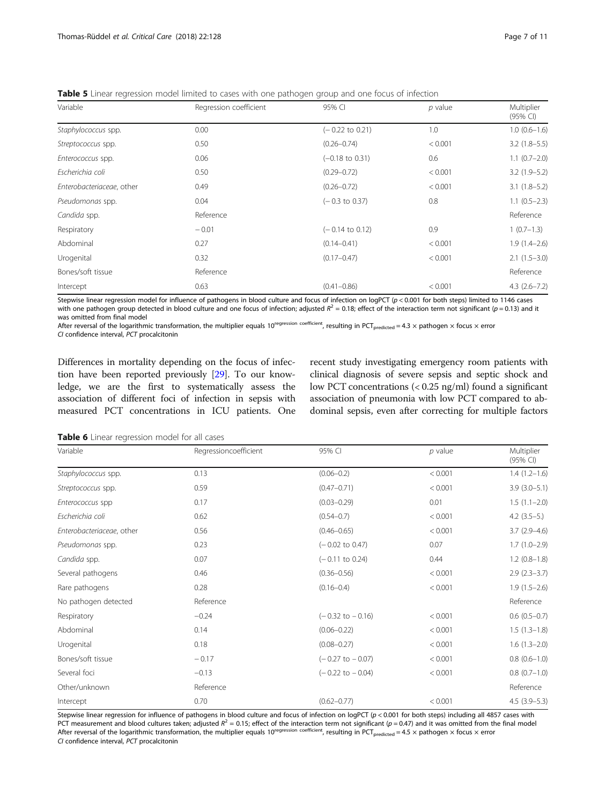<span id="page-6-0"></span>Table 5 Linear regression model limited to cases with one pathogen group and one focus of infection

| Variable                  | Regression coefficient | 95% CI                     | $p$ value | Multiplier<br>$(95% \text{ Cl})$ |
|---------------------------|------------------------|----------------------------|-----------|----------------------------------|
| Staphylococcus spp.       | 0.00                   | $(-0.22 \text{ to } 0.21)$ | 1.0       | $1.0(0.6-1.6)$                   |
| Streptococcus spp.        | 0.50                   | $(0.26 - 0.74)$            | < 0.001   | $3.2$ (1.8-5.5)                  |
| Enterococcus spp.         | 0.06                   | $(-0.18 \text{ to } 0.31)$ | 0.6       | $1.1(0.7-2.0)$                   |
| Escherichia coli          | 0.50                   | $(0.29 - 0.72)$            | < 0.001   | $3.2(1.9-5.2)$                   |
| Enterobacteriaceae, other | 0.49                   | $(0.26 - 0.72)$            | < 0.001   | $3.1(1.8-5.2)$                   |
| Pseudomonas spp.          | 0.04                   | $(-0.3 \text{ to } 0.37)$  | 0.8       | $1.1(0.5-2.3)$                   |
| Candida spp.              | Reference              |                            |           | Reference                        |
| Respiratory               | $-0.01$                | $(-0.14 \text{ to } 0.12)$ | 0.9       | $1(0.7-1.3)$                     |
| Abdominal                 | 0.27                   | $(0.14 - 0.41)$            | < 0.001   | $1.9(1.4 - 2.6)$                 |
| Urogenital                | 0.32                   | $(0.17 - 0.47)$            | < 0.001   | $2.1(1.5-3.0)$                   |
| Bones/soft tissue         | Reference              |                            |           | Reference                        |
| Intercept                 | 0.63                   | $(0.41 - 0.86)$            | < 0.001   | $4.3(2.6 - 7.2)$                 |

Stepwise linear regression model for influence of pathogens in blood culture and focus of infection on logPCT (p < 0.001 for both steps) limited to 1146 cases with one pathogen group detected in blood culture and one focus of infection; adjusted  $R^2 = 0.18$ ; effect of the interaction term not significant (p = 0.13) and it was omitted from final model

After reversal of the logarithmic transformation, the multiplier equals 10<sup>regression coefficient</sup>, resulting in PCT<sub>predicted</sub> = 4.3  $\times$  pathogen  $\times$  focus  $\times$  error CI confidence interval, PCT procalcitonin

Differences in mortality depending on the focus of infection have been reported previously [\[29\]](#page-10-0). To our knowledge, we are the first to systematically assess the association of different foci of infection in sepsis with measured PCT concentrations in ICU patients. One recent study investigating emergency room patients with clinical diagnosis of severe sepsis and septic shock and low PCT concentrations (< 0.25 ng/ml) found a significant association of pneumonia with low PCT compared to abdominal sepsis, even after correcting for multiple factors

Table 6 Linear regression model for all cases

| Variable                  | Regressioncoefficient | 95% CI                      | $p$ value | Multiplier<br>(95% CI) |
|---------------------------|-----------------------|-----------------------------|-----------|------------------------|
| Staphylococcus spp.       | 0.13                  | $(0.06 - 0.2)$              | < 0.001   | $1.4(1.2-1.6)$         |
| Streptococcus spp.        | 0.59                  | $(0.47 - 0.71)$             | < 0.001   | $3.9(3.0-5.1)$         |
| Enterococcus spp          | 0.17                  | $(0.03 - 0.29)$             | 0.01      | $1.5(1.1-2.0)$         |
| Escherichia coli          | 0.62                  | $(0.54 - 0.7)$              | < 0.001   | $4.2$ (3.5-5.)         |
| Enterobacteriaceae, other | 0.56                  | $(0.46 - 0.65)$             | < 0.001   | $3.7(2.9-4.6)$         |
| Pseudomonas spp.          | 0.23                  | $(-0.02 \text{ to } 0.47)$  | 0.07      | $1.7(1.0-2.9)$         |
| Candida spp.              | 0.07                  | $(-0.11$ to 0.24)           | 0.44      | $1.2(0.8-1.8)$         |
| Several pathogens         | 0.46                  | $(0.36 - 0.56)$             | < 0.001   | $2.9(2.3-3.7)$         |
| Rare pathogens            | 0.28                  | $(0.16 - 0.4)$              | < 0.001   | $1.9(1.5-2.6)$         |
| No pathogen detected      | Reference             |                             |           | Reference              |
| Respiratory               | $-0.24$               | $(-0.32 \text{ to } -0.16)$ | < 0.001   | $0.6(0.5-0.7)$         |
| Abdominal                 | 0.14                  | $(0.06 - 0.22)$             | < 0.001   | $1.5(1.3-1.8)$         |
| Urogenital                | 0.18                  | $(0.08 - 0.27)$             | < 0.001   | $1.6(1.3-2.0)$         |
| Bones/soft tissue         | $-0.17$               | $(-0.27$ to $-0.07)$        | < 0.001   | $0.8(0.6-1.0)$         |
| Several foci              | $-0.13$               | $(-0.22 \text{ to } -0.04)$ | < 0.001   | $0.8$ $(0.7-1.0)$      |
| Other/unknown             | Reference             |                             |           | Reference              |
| Intercept                 | 0.70                  | $(0.62 - 0.77)$             | < 0.001   | $4.5(3.9-5.3)$         |

Stepwise linear regression for influence of pathogens in blood culture and focus of infection on logPCT (p < 0.001 for both steps) including all 4857 cases with PCT measurement and blood cultures taken; adjusted  $R^2 = 0.15$ ; effect of the interaction term not significant ( $p = 0.47$ ) and it was omitted from the final model After reversal of the logarithmic transformation, the multiplier equals  $10^{\text{regression coefficient}}$ , resulting in  $PCT_{predicted} = 4.5 \times \text{pathogen} \times \text{focus} \times \text{error}$ CI confidence interval, PCT procalcitonin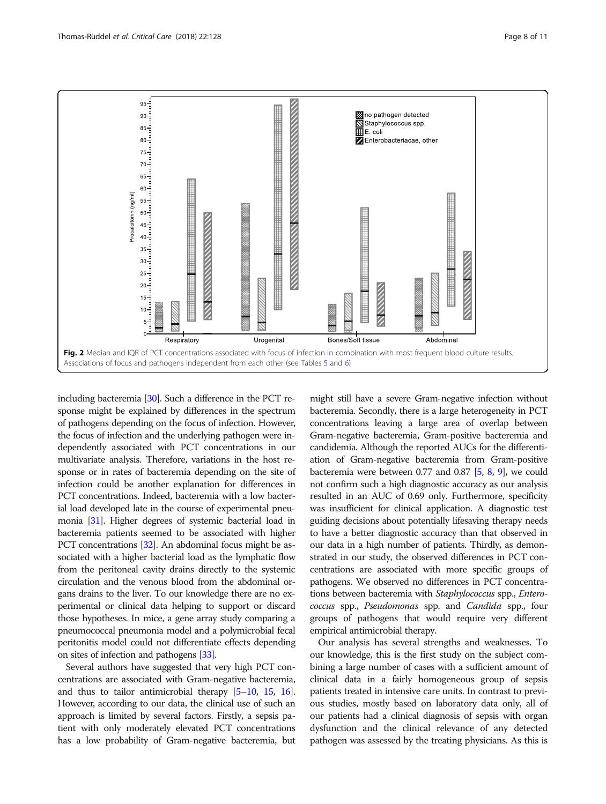<span id="page-7-0"></span>

including bacteremia [[30](#page-10-0)]. Such a difference in the PCT response might be explained by differences in the spectrum of pathogens depending on the focus of infection. However, the focus of infection and the underlying pathogen were independently associated with PCT concentrations in our multivariate analysis. Therefore, variations in the host response or in rates of bacteremia depending on the site of infection could be another explanation for differences in PCT concentrations. Indeed, bacteremia with a low bacterial load developed late in the course of experimental pneumonia [\[31\]](#page-10-0). Higher degrees of systemic bacterial load in bacteremia patients seemed to be associated with higher PCT concentrations [\[32](#page-10-0)]. An abdominal focus might be associated with a higher bacterial load as the lymphatic flow from the peritoneal cavity drains directly to the systemic circulation and the venous blood from the abdominal organs drains to the liver. To our knowledge there are no experimental or clinical data helping to support or discard those hypotheses. In mice, a gene array study comparing a pneumococcal pneumonia model and a polymicrobial fecal peritonitis model could not differentiate effects depending on sites of infection and pathogens [[33](#page-10-0)].

Several authors have suggested that very high PCT concentrations are associated with Gram-negative bacteremia, and thus to tailor antimicrobial therapy [\[5](#page-9-0)–[10,](#page-9-0) [15,](#page-9-0) [16](#page-9-0)]. However, according to our data, the clinical use of such an approach is limited by several factors. Firstly, a sepsis patient with only moderately elevated PCT concentrations has a low probability of Gram-negative bacteremia, but

might still have a severe Gram-negative infection without bacteremia. Secondly, there is a large heterogeneity in PCT concentrations leaving a large area of overlap between Gram-negative bacteremia, Gram-positive bacteremia and candidemia. Although the reported AUCs for the differentiation of Gram-negative bacteremia from Gram-positive bacteremia were between 0.77 and 0.87 [\[5,](#page-9-0) [8,](#page-9-0) [9\]](#page-9-0), we could not confirm such a high diagnostic accuracy as our analysis resulted in an AUC of 0.69 only. Furthermore, specificity was insufficient for clinical application. A diagnostic test guiding decisions about potentially lifesaving therapy needs to have a better diagnostic accuracy than that observed in our data in a high number of patients. Thirdly, as demonstrated in our study, the observed differences in PCT concentrations are associated with more specific groups of pathogens. We observed no differences in PCT concentrations between bacteremia with Staphylococcus spp., Enterococcus spp., Pseudomonas spp. and Candida spp., four groups of pathogens that would require very different empirical antimicrobial therapy.

Our analysis has several strengths and weaknesses. To our knowledge, this is the first study on the subject combining a large number of cases with a sufficient amount of clinical data in a fairly homogeneous group of sepsis patients treated in intensive care units. In contrast to previous studies, mostly based on laboratory data only, all of our patients had a clinical diagnosis of sepsis with organ dysfunction and the clinical relevance of any detected pathogen was assessed by the treating physicians. As this is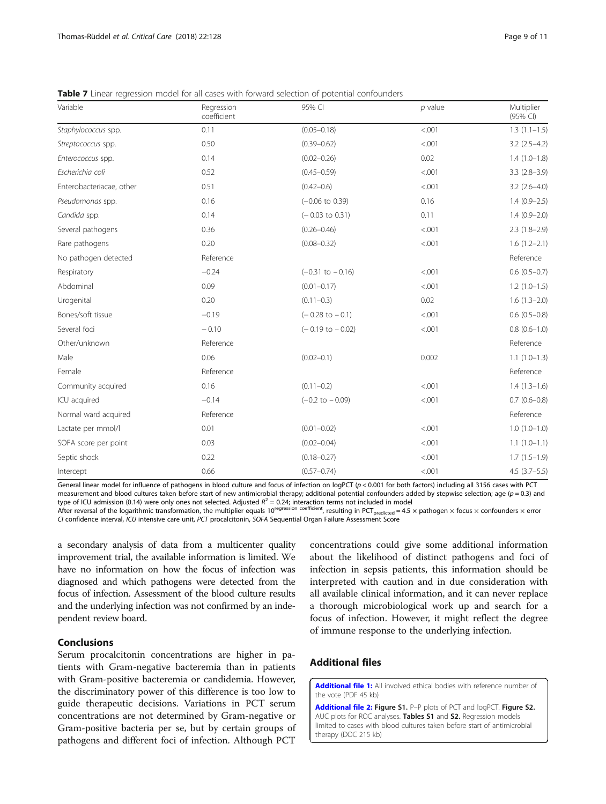<span id="page-8-0"></span>Table 7 Linear regression model for all cases with forward selection of potential confounders

| Variable                 | Regression<br>coefficient | 95% CI                      | $p$ value | Multiplier<br>(95% CI) |
|--------------------------|---------------------------|-----------------------------|-----------|------------------------|
| Staphylococcus spp.      | 0.11                      | $(0.05 - 0.18)$             | < .001    | $1.3(1.1-1.5)$         |
| Streptococcus spp.       | 0.50                      | $(0.39 - 0.62)$             | < .001    | $3.2(2.5-4.2)$         |
| Enterococcus spp.        | 0.14                      | $(0.02 - 0.26)$             | 0.02      | $1.4(1.0-1.8)$         |
| Escherichia coli         | 0.52                      | $(0.45 - 0.59)$             | < 0.01    | $3.3(2.8-3.9)$         |
| Enterobacteriacae, other | 0.51                      | $(0.42 - 0.6)$              | < .001    | $3.2$ (2.6-4.0)        |
| Pseudomonas spp.         | 0.16                      | $(-0.06 \text{ to } 0.39)$  | 0.16      | $1.4(0.9-2.5)$         |
| Candida spp.             | 0.14                      | $(-0.03$ to 0.31)           | 0.11      | $1.4(0.9 - 2.0)$       |
| Several pathogens        | 0.36                      | $(0.26 - 0.46)$             | < .001    | $2.3(1.8-2.9)$         |
| Rare pathogens           | 0.20                      | $(0.08 - 0.32)$             | < .001    | $1.6(1.2 - 2.1)$       |
| No pathogen detected     | Reference                 |                             |           | Reference              |
| Respiratory              | $-0.24$                   | $(-0.31$ to $-0.16)$        | < .001    | $0.6(0.5-0.7)$         |
| Abdominal                | 0.09                      | $(0.01 - 0.17)$             | < .001    | $1.2(1.0-1.5)$         |
| Urogenital               | 0.20                      | $(0.11 - 0.3)$              | 0.02      | $1.6(1.3-2.0)$         |
| Bones/soft tissue        | $-0.19$                   | $(-0.28 \text{ to } -0.1)$  | < .001    | $0.6(0.5-0.8)$         |
| Several foci             | $-0.10$                   | $(-0.19 \text{ to } -0.02)$ | < .001    | $0.8(0.6-1.0)$         |
| Other/unknown            | Reference                 |                             |           | Reference              |
| Male                     | 0.06                      | $(0.02 - 0.1)$              | 0.002     | $1.1(1.0-1.3)$         |
| Female                   | Reference                 |                             |           | Reference              |
| Community acquired       | 0.16                      | $(0.11 - 0.2)$              | < .001    | $1.4(1.3-1.6)$         |
| ICU acquired             | $-0.14$                   | $(-0.2$ to $-0.09)$         | < .001    | $0.7(0.6 - 0.8)$       |
| Normal ward acquired     | Reference                 |                             |           | Reference              |
| Lactate per mmol/l       | 0.01                      | $(0.01 - 0.02)$             | < .001    | $1.0(1.0-1.0)$         |
| SOFA score per point     | 0.03                      | $(0.02 - 0.04)$             | < .001    | $1.1(1.0-1.1)$         |
| Septic shock             | 0.22                      | $(0.18 - 0.27)$             | < .001    | $1.7(1.5-1.9)$         |
| Intercept                | 0.66                      | $(0.57 - 0.74)$             | < .001    | $4.5(3.7-5.5)$         |

General linear model for influence of pathogens in blood culture and focus of infection on logPCT (p < 0.001 for both factors) including all 3156 cases with PCT measurement and blood cultures taken before start of new antimicrobial therapy; additional potential confounders added by stepwise selection; age ( $p = 0.3$ ) and type of ICU admission (0.14) were only ones not selected. Adjusted  $R^2 = 0.24$ ; interaction terms not included in model

After reversal of the logarithmic transformation, the multiplier equals  $10^{\text{regression coefficient}}$ , resulting in PCT<sub>predicted</sub> = 4.5 × pathogen × focus × confounders × error CI confidence interval, ICU intensive care unit, PCT procalcitonin, SOFA Sequential Organ Failure Assessment Score

a secondary analysis of data from a multicenter quality improvement trial, the available information is limited. We have no information on how the focus of infection was diagnosed and which pathogens were detected from the focus of infection. Assessment of the blood culture results and the underlying infection was not confirmed by an independent review board.

# Conclusions

Serum procalcitonin concentrations are higher in patients with Gram-negative bacteremia than in patients with Gram-positive bacteremia or candidemia. However, the discriminatory power of this difference is too low to guide therapeutic decisions. Variations in PCT serum concentrations are not determined by Gram-negative or Gram-positive bacteria per se, but by certain groups of pathogens and different foci of infection. Although PCT

concentrations could give some additional information about the likelihood of distinct pathogens and foci of infection in sepsis patients, this information should be interpreted with caution and in due consideration with all available clinical information, and it can never replace a thorough microbiological work up and search for a focus of infection. However, it might reflect the degree of immune response to the underlying infection.

# Additional files

[Additional file 1:](https://doi.org/10.1186/s13054-018-2050-9) All involved ethical bodies with reference number of the vote (PDF 45 kb)

[Additional file 2:](https://doi.org/10.1186/s13054-018-2050-9) Figure S1. P-P plots of PCT and logPCT. Figure S2. AUC plots for ROC analyses. Tables S1 and S2. Regression models limited to cases with blood cultures taken before start of antimicrobial therapy (DOC 215 kb)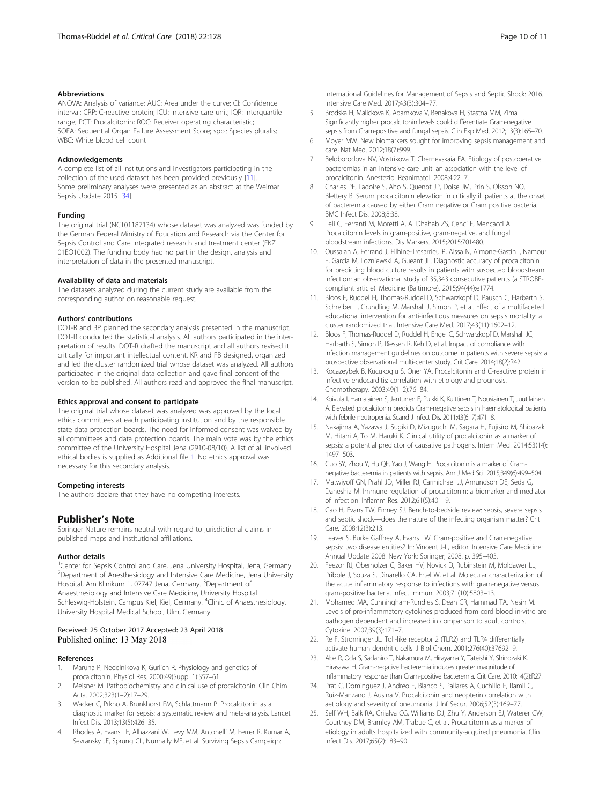# <span id="page-9-0"></span>Abbreviations

ANOVA: Analysis of variance; AUC: Area under the curve; CI: Confidence interval; CRP: C-reactive protein; ICU: Intensive care unit; IQR: Interquartile range; PCT: Procalcitonin; ROC: Receiver operating characteristic; SOFA: Sequential Organ Failure Assessment Score; spp.: Species pluralis; WBC: White blood cell count

#### Acknowledgements

A complete list of all institutions and investigators participating in the collection of the used dataset has been provided previously [11]. Some preliminary analyses were presented as an abstract at the Weimar Sepsis Update 2015 [[34](#page-10-0)].

#### Funding

The original trial (NCT01187134) whose dataset was analyzed was funded by the German Federal Ministry of Education and Research via the Center for Sepsis Control and Care integrated research and treatment center (FKZ 01EO1002). The funding body had no part in the design, analysis and interpretation of data in the presented manuscript.

# Availability of data and materials

The datasets analyzed during the current study are available from the corresponding author on reasonable request.

## Authors' contributions

DOT-R and BP planned the secondary analysis presented in the manuscript. DOT-R conducted the statistical analysis. All authors participated in the interpretation of results. DOT-R drafted the manuscript and all authors revised it critically for important intellectual content. KR and FB designed, organized and led the cluster randomized trial whose dataset was analyzed. All authors participated in the original data collection and gave final consent of the version to be published. All authors read and approved the final manuscript.

#### Ethics approval and consent to participate

The original trial whose dataset was analyzed was approved by the local ethics committees at each participating institution and by the responsible state data protection boards. The need for informed consent was waived by all committees and data protection boards. The main vote was by the ethics committee of the University Hospital Jena (2910-08/10). A list of all involved ethical bodies is supplied as Additional file [1](#page-8-0). No ethics approval was necessary for this secondary analysis.

#### Competing interests

The authors declare that they have no competing interests.

# Publisher's Note

Springer Nature remains neutral with regard to jurisdictional claims in published maps and institutional affiliations.

#### Author details

<sup>1</sup> Center for Sepsis Control and Care, Jena University Hospital, Jena, Germany. <sup>2</sup> Department of Anesthesiology and Intensive Care Medicine, Jena University Hospital, Am Klinikum 1, 07747 Jena, Germany. <sup>3</sup>Department of Anaesthesiology and Intensive Care Medicine, University Hospital Schleswig-Holstein, Campus Kiel, Kiel, Germany. <sup>4</sup>Clinic of Anaesthesiology, University Hospital Medical School, Ulm, Germany.

# Received: 25 October 2017 Accepted: 23 April 2018 Published online: 13 May 2018

# References

- 1. Maruna P, Nedelnikova K, Gurlich R. Physiology and genetics of procalcitonin. Physiol Res. 2000;49(Suppl 1):S57–61.
- 2. Meisner M. Pathobiochemistry and clinical use of procalcitonin. Clin Chim Acta. 2002;323(1–2):17–29.
- 3. Wacker C, Prkno A, Brunkhorst FM, Schlattmann P. Procalcitonin as a diagnostic marker for sepsis: a systematic review and meta-analysis. Lancet Infect Dis. 2013;13(5):426–35.
- 4. Rhodes A, Evans LE, Alhazzani W, Levy MM, Antonelli M, Ferrer R, Kumar A, Sevransky JE, Sprung CL, Nunnally ME, et al. Surviving Sepsis Campaign:

International Guidelines for Management of Sepsis and Septic Shock: 2016. Intensive Care Med. 2017;43(3):304–77.

- 5. Brodska H, Malickova K, Adamkova V, Benakova H, Stastna MM, Zima T. Significantly higher procalcitonin levels could differentiate Gram-negative sepsis from Gram-positive and fungal sepsis. Clin Exp Med. 2012;13(3):165–70.
- 6. Moyer MW. New biomarkers sought for improving sepsis management and care. Nat Med. 2012;18(7):999.
- 7. Beloborodova NV, Vostrikova T, Chernevskaia EA. Etiology of postoperative bacteremias in an intensive care unit: an association with the level of procalcitonin. Anesteziol Reanimatol. 2008;4:22–7.
- Charles PE, Ladoire S, Aho S, Quenot JP, Doise JM, Prin S, Olsson NO, Blettery B. Serum procalcitonin elevation in critically ill patients at the onset of bacteremia caused by either Gram negative or Gram positive bacteria. BMC Infect Dis. 2008;8:38.
- 9. Leli C, Ferranti M, Moretti A, Al Dhahab ZS, Cenci E, Mencacci A. Procalcitonin levels in gram-positive, gram-negative, and fungal bloodstream infections. Dis Markers. 2015;2015:701480.
- 10. Oussalah A, Ferrand J, Filhine-Tresarrieu P, Aissa N, Aimone-Gastin I, Namour F, Garcia M, Lozniewski A, Gueant JL. Diagnostic accuracy of procalcitonin for predicting blood culture results in patients with suspected bloodstream infection: an observational study of 35,343 consecutive patients (a STROBEcompliant article). Medicine (Baltimore). 2015;94(44):e1774.
- 11. Bloos F, Ruddel H, Thomas-Ruddel D, Schwarzkopf D, Pausch C, Harbarth S, Schreiber T, Grundling M, Marshall J, Simon P, et al. Effect of a multifaceted educational intervention for anti-infectious measures on sepsis mortality: a cluster randomized trial. Intensive Care Med. 2017;43(11):1602–12.
- 12. Bloos F, Thomas-Ruddel D, Ruddel H, Engel C, Schwarzkopf D, Marshall JC, Harbarth S, Simon P, Riessen R, Keh D, et al. Impact of compliance with infection management guidelines on outcome in patients with severe sepsis: a prospective observational multi-center study. Crit Care. 2014;18(2):R42.
- 13. Kocazeybek B, Kucukoglu S, Oner YA. Procalcitonin and C-reactive protein in infective endocarditis: correlation with etiology and prognosis. Chemotherapy. 2003;49(1–2):76–84.
- 14. Koivula I, Hamalainen S, Jantunen E, Pulkki K, Kuittinen T, Nousiainen T, Juutilainen A. Elevated procalcitonin predicts Gram-negative sepsis in haematological patients with febrile neutropenia. Scand J Infect Dis. 2011;43(6–7):471–8.
- 15. Nakajima A, Yazawa J, Sugiki D, Mizuguchi M, Sagara H, Fujisiro M, Shibazaki M, Hitani A, To M, Haruki K. Clinical utility of procalcitonin as a marker of sepsis: a potential predictor of causative pathogens. Intern Med. 2014;53(14): 1497–503.
- 16. Guo SY, Zhou Y, Hu QF, Yao J, Wang H. Procalcitonin is a marker of Gramnegative bacteremia in patients with sepsis. Am J Med Sci. 2015;349(6):499–504.
- 17. Matwiyoff GN, Prahl JD, Miller RJ, Carmichael JJ, Amundson DE, Seda G, Daheshia M. Immune regulation of procalcitonin: a biomarker and mediator of infection. Inflamm Res. 2012;61(5):401–9.
- 18. Gao H, Evans TW, Finney SJ. Bench-to-bedside review: sepsis, severe sepsis and septic shock—does the nature of the infecting organism matter? Crit Care. 2008;12(3):213.
- 19. Leaver S, Burke Gaffney A, Evans TW. Gram-positive and Gram-negative sepsis: two disease entities? In: Vincent J-L, editor. Intensive Care Medicine: Annual Update 2008. New York: Springer; 2008. p. 395–403.
- 20. Feezor RJ, Oberholzer C, Baker HV, Novick D, Rubinstein M, Moldawer LL, Pribble J, Souza S, Dinarello CA, Ertel W, et al. Molecular characterization of the acute inflammatory response to infections with gram-negative versus gram-positive bacteria. Infect Immun. 2003;71(10):5803–13.
- 21. Mohamed MA, Cunningham-Rundles S, Dean CR, Hammad TA, Nesin M. Levels of pro-inflammatory cytokines produced from cord blood in-vitro are pathogen dependent and increased in comparison to adult controls. Cytokine. 2007;39(3):171–7.
- 22. Re F, Strominger JL. Toll-like receptor 2 (TLR2) and TLR4 differentially activate human dendritic cells. J Biol Chem. 2001;276(40):37692–9.
- 23. Abe R, Oda S, Sadahiro T, Nakamura M, Hirayama Y, Tateishi Y, Shinozaki K, Hirasawa H. Gram-negative bacteremia induces greater magnitude of inflammatory response than Gram-positive bacteremia. Crit Care. 2010;14(2):R27.
- 24. Prat C, Dominguez J, Andreo F, Blanco S, Pallares A, Cuchillo F, Ramil C, Ruiz-Manzano J, Ausina V. Procalcitonin and neopterin correlation with aetiology and severity of pneumonia. J Inf Secur. 2006;52(3):169–77.
- 25. Self WH, Balk RA, Grijalva CG, Williams DJ, Zhu Y, Anderson EJ, Waterer GW, Courtney DM, Bramley AM, Trabue C, et al. Procalcitonin as a marker of etiology in adults hospitalized with community-acquired pneumonia. Clin Infect Dis. 2017;65(2):183–90.